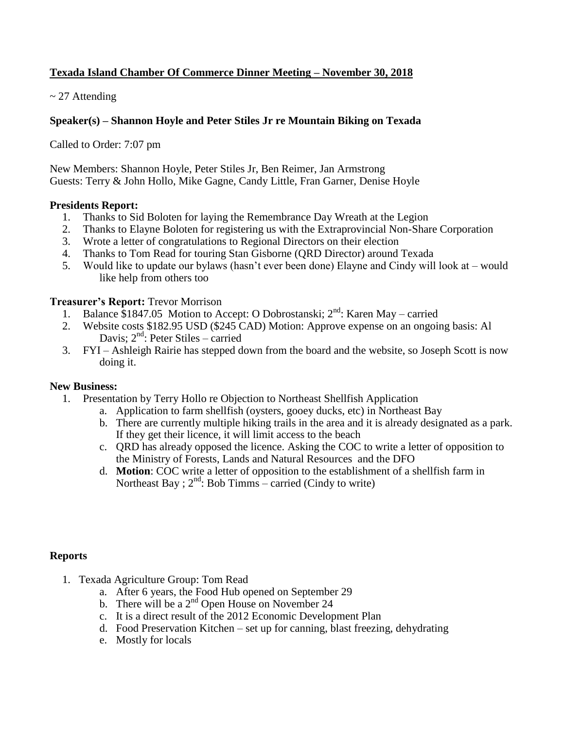# **Texada Island Chamber Of Commerce Dinner Meeting – November 30, 2018**

## $\sim$  27 Attending

## **Speaker(s) – Shannon Hoyle and Peter Stiles Jr re Mountain Biking on Texada**

Called to Order: 7:07 pm

New Members: Shannon Hoyle, Peter Stiles Jr, Ben Reimer, Jan Armstrong Guests: Terry & John Hollo, Mike Gagne, Candy Little, Fran Garner, Denise Hoyle

### **Presidents Report:**

- 1. Thanks to Sid Boloten for laying the Remembrance Day Wreath at the Legion
- 2. Thanks to Elayne Boloten for registering us with the Extraprovincial Non-Share Corporation
- 3. Wrote a letter of congratulations to Regional Directors on their election
- 4. Thanks to Tom Read for touring Stan Gisborne (QRD Director) around Texada
- 5. Would like to update our bylaws (hasn't ever been done) Elayne and Cindy will look at would like help from others too

### **Treasurer's Report:** Trevor Morrison

- 1. Balance  $$1847.05$  Motion to Accept: O Dobrostanski;  $2<sup>nd</sup>$ : Karen May carried
- 2. Website costs \$182.95 USD (\$245 CAD) Motion: Approve expense on an ongoing basis: Al Davis;  $2<sup>nd</sup>$ : Peter Stiles – carried
- 3. FYI Ashleigh Rairie has stepped down from the board and the website, so Joseph Scott is now doing it.

#### **New Business:**

- 1. Presentation by Terry Hollo re Objection to Northeast Shellfish Application
	- a. Application to farm shellfish (oysters, gooey ducks, etc) in Northeast Bay
	- b. There are currently multiple hiking trails in the area and it is already designated as a park. If they get their licence, it will limit access to the beach
	- c. QRD has already opposed the licence. Asking the COC to write a letter of opposition to the Ministry of Forests, Lands and Natural Resources and the DFO
	- d. **Motion**: COC write a letter of opposition to the establishment of a shellfish farm in Northeast Bay ;  $2<sup>nd</sup>$ : Bob Timms – carried (Cindy to write)

#### **Reports**

- 1. Texada Agriculture Group: Tom Read
	- a. After 6 years, the Food Hub opened on September 29
	- b. There will be a  $2<sup>nd</sup>$  Open House on November 24
	- c. It is a direct result of the 2012 Economic Development Plan
	- d. Food Preservation Kitchen set up for canning, blast freezing, dehydrating
	- e. Mostly for locals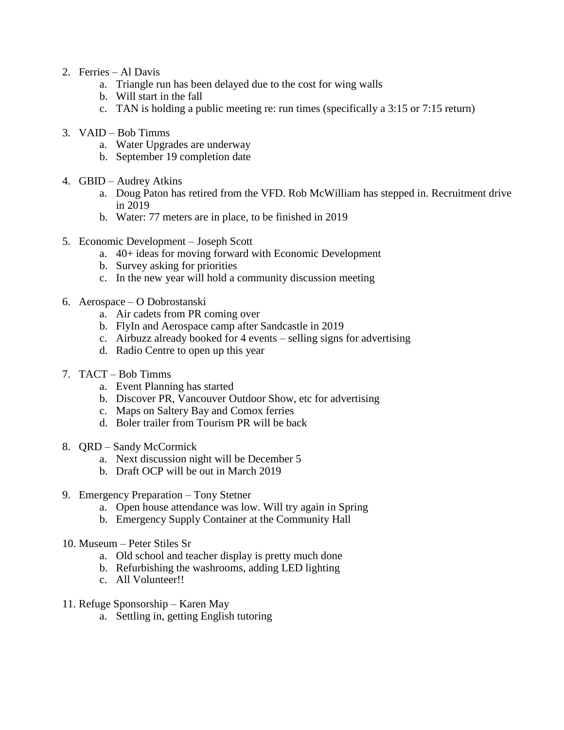- 2. Ferries Al Davis
	- a. Triangle run has been delayed due to the cost for wing walls
	- b. Will start in the fall
	- c. TAN is holding a public meeting re: run times (specifically a 3:15 or 7:15 return)
- 3. VAID Bob Timms
	- a. Water Upgrades are underway
	- b. September 19 completion date
- 4. GBID Audrey Atkins
	- a. Doug Paton has retired from the VFD. Rob McWilliam has stepped in. Recruitment drive in 2019
	- b. Water: 77 meters are in place, to be finished in 2019
- 5. Economic Development Joseph Scott
	- a. 40+ ideas for moving forward with Economic Development
	- b. Survey asking for priorities
	- c. In the new year will hold a community discussion meeting
- 6. Aerospace O Dobrostanski
	- a. Air cadets from PR coming over
	- b. FlyIn and Aerospace camp after Sandcastle in 2019
	- c. Airbuzz already booked for 4 events selling signs for advertising
	- d. Radio Centre to open up this year
- 7. TACT Bob Timms
	- a. Event Planning has started
	- b. Discover PR, Vancouver Outdoor Show, etc for advertising
	- c. Maps on Saltery Bay and Comox ferries
	- d. Boler trailer from Tourism PR will be back
- 8. QRD Sandy McCormick
	- a. Next discussion night will be December 5
	- b. Draft OCP will be out in March 2019
- 9. Emergency Preparation Tony Stetner
	- a. Open house attendance was low. Will try again in Spring
	- b. Emergency Supply Container at the Community Hall
- 10. Museum Peter Stiles Sr
	- a. Old school and teacher display is pretty much done
	- b. Refurbishing the washrooms, adding LED lighting
	- c. All Volunteer!!
- 11. Refuge Sponsorship Karen May
	- a. Settling in, getting English tutoring